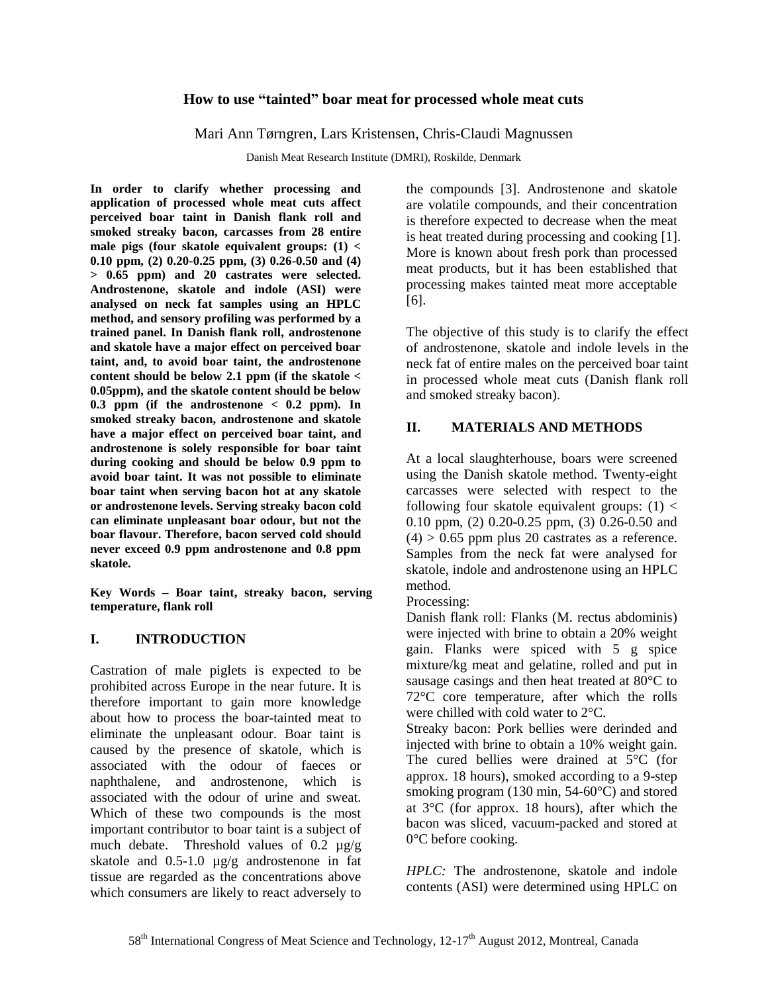# **How to use "tainted" boar meat for processed whole meat cuts**

Mari Ann Tørngren, Lars Kristensen, Chris-Claudi Magnussen

Danish Meat Research Institute (DMRI), Roskilde, Denmark

**In order to clarify whether processing and application of processed whole meat cuts affect perceived boar taint in Danish flank roll and smoked streaky bacon, carcasses from 28 entire male pigs (four skatole equivalent groups: (1) < 0.10 ppm, (2) 0.20-0.25 ppm, (3) 0.26-0.50 and (4) > 0.65 ppm) and 20 castrates were selected. Androstenone, skatole and indole (ASI) were analysed on neck fat samples using an HPLC method, and sensory profiling was performed by a trained panel. In Danish flank roll, androstenone and skatole have a major effect on perceived boar taint, and, to avoid boar taint, the androstenone content should be below 2.1 ppm (if the skatole < 0.05ppm), and the skatole content should be below 0.3 ppm (if the androstenone < 0.2 ppm). In smoked streaky bacon, androstenone and skatole have a major effect on perceived boar taint, and androstenone is solely responsible for boar taint during cooking and should be below 0.9 ppm to avoid boar taint. It was not possible to eliminate boar taint when serving bacon hot at any skatole or androstenone levels. Serving streaky bacon cold can eliminate unpleasant boar odour, but not the boar flavour. Therefore, bacon served cold should never exceed 0.9 ppm androstenone and 0.8 ppm skatole.**

**Key Words – Boar taint, streaky bacon, serving temperature, flank roll**

# **I. INTRODUCTION**

Castration of male piglets is expected to be prohibited across Europe in the near future. It is therefore important to gain more knowledge about how to process the boar-tainted meat to eliminate the unpleasant odour. Boar taint is caused by the presence of skatole, which is associated with the odour of faeces or naphthalene, and androstenone, which is associated with the odour of urine and sweat. Which of these two compounds is the most important contributor to boar taint is a subject of much debate. Threshold values of 0.2 µg/g skatole and 0.5-1.0  $\mu$ g/g androstenone in fat tissue are regarded as the concentrations above which consumers are likely to react adversely to

the compounds [3]. Androstenone and skatole are volatile compounds, and their concentration is therefore expected to decrease when the meat is heat treated during processing and cooking [1]. More is known about fresh pork than processed meat products, but it has been established that processing makes tainted meat more acceptable [6].

The objective of this study is to clarify the effect of androstenone, skatole and indole levels in the neck fat of entire males on the perceived boar taint in processed whole meat cuts (Danish flank roll and smoked streaky bacon).

# **II. MATERIALS AND METHODS**

At a local slaughterhouse, boars were screened using the Danish skatole method. Twenty-eight carcasses were selected with respect to the following four skatole equivalent groups:  $(1)$  < 0.10 ppm, (2) 0.20-0.25 ppm, (3) 0.26-0.50 and  $(4)$  > 0.65 ppm plus 20 castrates as a reference. Samples from the neck fat were analysed for skatole, indole and androstenone using an HPLC method.

Processing:

Danish flank roll: Flanks (M. rectus abdominis) were injected with brine to obtain a 20% weight gain. Flanks were spiced with 5 g spice mixture/kg meat and gelatine, rolled and put in sausage casings and then heat treated at 80°C to 72°C core temperature, after which the rolls were chilled with cold water to 2°C.

Streaky bacon: Pork bellies were derinded and injected with brine to obtain a 10% weight gain. The cured bellies were drained at 5°C (for approx. 18 hours), smoked according to a 9-step smoking program (130 min, 54-60°C) and stored at 3°C (for approx. 18 hours), after which the bacon was sliced, vacuum-packed and stored at 0°C before cooking.

*HPLC:* The androstenone, skatole and indole contents (ASI) were determined using HPLC on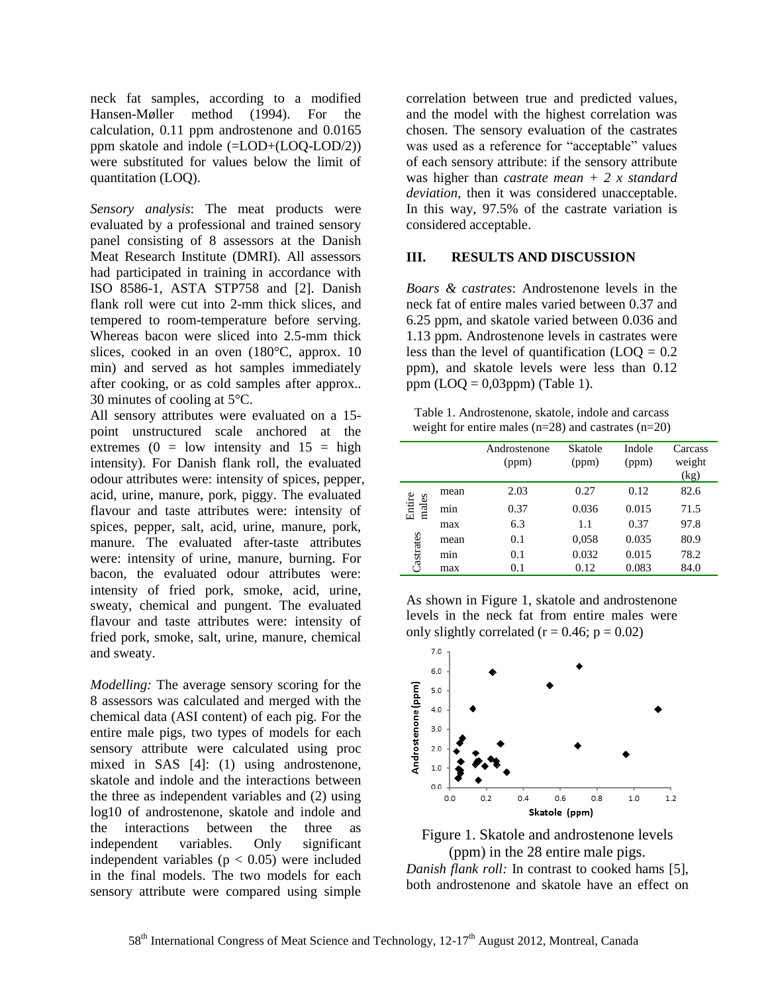neck fat samples, according to a modified Hansen-Møller method (1994). For the calculation, 0.11 ppm androstenone and 0.0165 ppm skatole and indole (=LOD+(LOQ-LOD/2)) were substituted for values below the limit of quantitation (LOQ).

*Sensory analysis*: The meat products were evaluated by a professional and trained sensory panel consisting of 8 assessors at the Danish Meat Research Institute (DMRI). All assessors had participated in training in accordance with ISO 8586-1, ASTA STP758 and [2]. Danish flank roll were cut into 2-mm thick slices, and tempered to room-temperature before serving. Whereas bacon were sliced into 2.5-mm thick slices, cooked in an oven (180°C, approx. 10 min) and served as hot samples immediately after cooking, or as cold samples after approx.. 30 minutes of cooling at 5°C.

All sensory attributes were evaluated on a 15 point unstructured scale anchored at the extremes  $(0 = low$  intensity and  $15 = high$ intensity). For Danish flank roll, the evaluated odour attributes were: intensity of spices, pepper, acid, urine, manure, pork, piggy. The evaluated flavour and taste attributes were: intensity of spices, pepper, salt, acid, urine, manure, pork, manure. The evaluated after-taste attributes were: intensity of urine, manure, burning. For bacon, the evaluated odour attributes were: intensity of fried pork, smoke, acid, urine, sweaty, chemical and pungent. The evaluated flavour and taste attributes were: intensity of fried pork, smoke, salt, urine, manure, chemical and sweaty.

*Modelling:* The average sensory scoring for the 8 assessors was calculated and merged with the chemical data (ASI content) of each pig. For the entire male pigs, two types of models for each sensory attribute were calculated using proc mixed in SAS [4]: (1) using androstenone, skatole and indole and the interactions between the three as independent variables and (2) using log10 of androstenone, skatole and indole and the interactions between the three as independent variables. Only significant independent variables ( $p < 0.05$ ) were included in the final models. The two models for each sensory attribute were compared using simple

correlation between true and predicted values, and the model with the highest correlation was chosen. The sensory evaluation of the castrates was used as a reference for "acceptable" values of each sensory attribute: if the sensory attribute was higher than *castrate mean + 2 x standard deviation,* then it was considered unacceptable. In this way, 97.5% of the castrate variation is considered acceptable.

### **III. RESULTS AND DISCUSSION**

*Boars & castrates*: Androstenone levels in the neck fat of entire males varied between 0.37 and 6.25 ppm, and skatole varied between 0.036 and 1.13 ppm. Androstenone levels in castrates were less than the level of quantification  $(LOO = 0.2)$ ppm), and skatole levels were less than 0.12 ppm  $(LOQ = 0.03$ ppm $)$  (Table 1).

Table 1. Androstenone, skatole, indole and carcass weight for entire males  $(n=28)$  and castrates  $(n=20)$ 

|                              |      | Androstenone<br>(ppm) | Skatole<br>(ppm) | Indole<br>(ppm) | Carcass<br>weight<br>(kg) |
|------------------------------|------|-----------------------|------------------|-----------------|---------------------------|
| Entire<br>males<br>Castrates | mean | 2.03                  | 0.27             | 0.12            | 82.6                      |
|                              | mın  | 0.37                  | 0.036            | 0.015           | 71.5                      |
|                              | max  | 6.3                   | 1.1              | 0.37            | 97.8                      |
|                              | mean | 0.1                   | 0,058            | 0.035           | 80.9                      |
|                              | mın  | 0.1                   | 0.032            | 0.015           | 78.2                      |
|                              | max  | 0.1                   | 0.12             | 0.083           | 84.0                      |

As shown in Figure 1, skatole and androstenone levels in the neck fat from entire males were only slightly correlated ( $r = 0.46$ ;  $p = 0.02$ )



Figure 1. Skatole and androstenone levels (ppm) in the 28 entire male pigs. *Danish flank roll:* In contrast to cooked hams [5], both androstenone and skatole have an effect on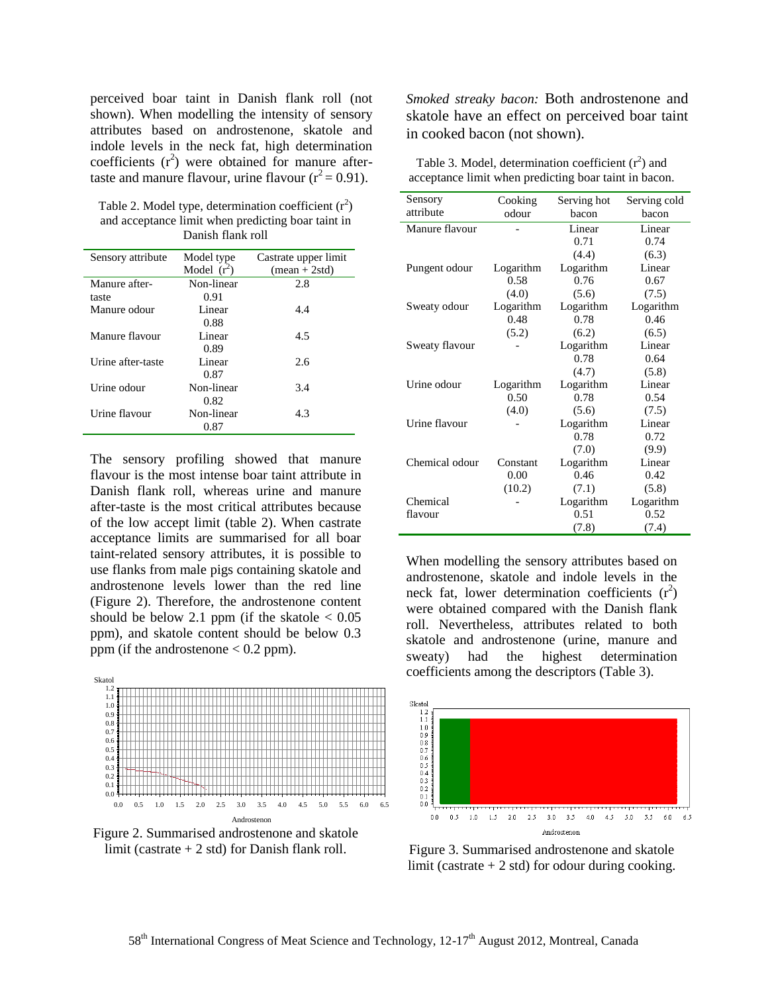perceived boar taint in Danish flank roll (not shown). When modelling the intensity of sensory attributes based on androstenone, skatole and indole levels in the neck fat, high determination coefficients  $(r^2)$  were obtained for manure aftertaste and manure flavour, urine flavour  $(r^2 = 0.91)$ .

Table 2. Model type, determination coefficient  $(r^2)$ and acceptance limit when predicting boar taint in Danish flank roll

| Sensory attribute | Model type    | Castrate upper limit |
|-------------------|---------------|----------------------|
|                   | Model $(r^2)$ | $mean + 2std)$       |
| Manure after-     | Non-linear    | 2.8                  |
| taste             | 0.91          |                      |
| Manure odour      | Linear        | 4.4                  |
|                   | 0.88          |                      |
| Manure flavour    | Linear        | 4.5                  |
|                   | 0.89          |                      |
| Urine after-taste | Linear        | 2.6                  |
|                   | 0.87          |                      |
| Urine odour       | Non-linear    | 3.4                  |
|                   | 0.82          |                      |
| Urine flavour     | Non-linear    | 4.3                  |
|                   | 0.87          |                      |

The sensory profiling showed that manure flavour is the most intense boar taint attribute in Danish flank roll, whereas urine and manure after-taste is the most critical attributes because of the low accept limit (table 2). When castrate acceptance limits are summarised for all boar taint-related sensory attributes, it is possible to use flanks from male pigs containing skatole and androstenone levels lower than the red line (Figure 2). Therefore, the androstenone content should be below 2.1 ppm (if the skatole  $< 0.05$ ) ppm), and skatole content should be below 0.3 ppm (if the androstenone  $< 0.2$  ppm).



**20. september 2011 /CCM**

Figure 2. Summarised androstenone and skatole limit (castrate  $+ 2$  std) for Danish flank roll.

*Smoked streaky bacon:* Both androstenone and skatole have an effect on perceived boar taint in cooked bacon (not shown).

| Table 3. Model, determination coefficient $(r^2)$ and |
|-------------------------------------------------------|
| acceptance limit when predicting boar taint in bacon. |

| Sensory        | Cooking   | Serving hot | Serving cold |  |
|----------------|-----------|-------------|--------------|--|
| attribute      | odour     | bacon       | bacon        |  |
| Manure flavour |           | Linear      | Linear       |  |
|                |           | 0.71        | 0.74         |  |
|                |           | (4.4)       | (6.3)        |  |
| Pungent odour  | Logarithm | Logarithm   | Linear       |  |
|                | 0.58      | 0.76        | 0.67         |  |
|                | (4.0)     | (5.6)       | (7.5)        |  |
| Sweaty odour   | Logarithm | Logarithm   | Logarithm    |  |
|                | 0.48      | 0.78        | 0.46         |  |
|                | (5.2)     | (6.2)       | (6.5)        |  |
| Sweaty flavour |           | Logarithm   | Linear       |  |
|                |           | 0.78        | 0.64         |  |
|                |           | (4.7)       | (5.8)        |  |
| Urine odour    | Logarithm | Logarithm   | Linear       |  |
|                | 0.50      | 0.78        | 0.54         |  |
|                | (4.0)     | (5.6)       | (7.5)        |  |
| Urine flavour  |           | Logarithm   | Linear       |  |
|                |           | 0.78        | 0.72         |  |
|                |           | (7.0)       | (9.9)        |  |
| Chemical odour | Constant  | Logarithm   | Linear       |  |
|                | 0.00      | 0.46        | 0.42         |  |
|                | (10.2)    | (7.1)       | (5.8)        |  |
| Chemical       |           | Logarithm   | Logarithm    |  |
| flavour        |           | 0.51        | 0.52         |  |
|                |           | (7.8)       | (7.4)        |  |

When modelling the sensory attributes based on androstenone, skatole and indole levels in the neck fat, lower determination coefficients  $(r^2)$ were obtained compared with the Danish flank roll. Nevertheless, attributes related to both skatole and androstenone (urine, manure and sweaty) had the highest determination coefficients among the descriptors (Table 3).



Figure 3. Summarised androstenone and skatole limit (castrate  $+ 2$  std) for odour during cooking.